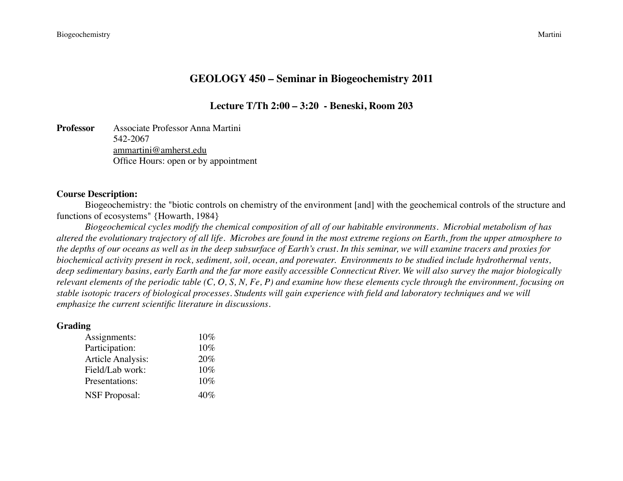# **GEOLOGY 450 – Seminar in Biogeochemistry 2011**

**Lecture T/Th 2:00 – 3:20 - Beneski, Room 203**

**Professor** Associate Professor Anna Martini 542-2067 [ammartini@amherst.edu](mailto:ammartini@amherst.edu) Office Hours: open or by appointment

#### **Course Description:**

Biogeochemistry: the "biotic controls on chemistry of the environment [and] with the geochemical controls of the structure and functions of ecosystems" {Howarth, 1984}

*Biogeochemical cycles modify the chemical composition of all of our habitable environments. Microbial metabolism of has altered the evolutionary trajectory of all life. Microbes are found in the most extreme regions on Earth, from the upper atmosphere to the depths of our oceans as well as in the deep subsurface of Earth's crust. In this seminar, we will examine tracers and proxies for biochemical activity present in rock, sediment, soil, ocean, and porewater. Environments to be studied include hydrothermal vents, deep sedimentary basins, early Earth and the far more easily accessible Connecticut River. We will also survey the major biologically relevant elements of the periodic table (C, O, S, N, Fe, P) and examine how these elements cycle through the environment, focusing on stable isotopic tracers of biological processes. Students will gain experience with field and laboratory techniques and we will emphasize the current scientific literature in discussions.* 

#### **Grading**

| Assignments:             | 10%    |
|--------------------------|--------|
| Participation:           | $10\%$ |
| <b>Article Analysis:</b> | 20%    |
| Field/Lab work:          | 10%    |
| Presentations:           | 10%    |
| <b>NSF Proposal:</b>     | 40%    |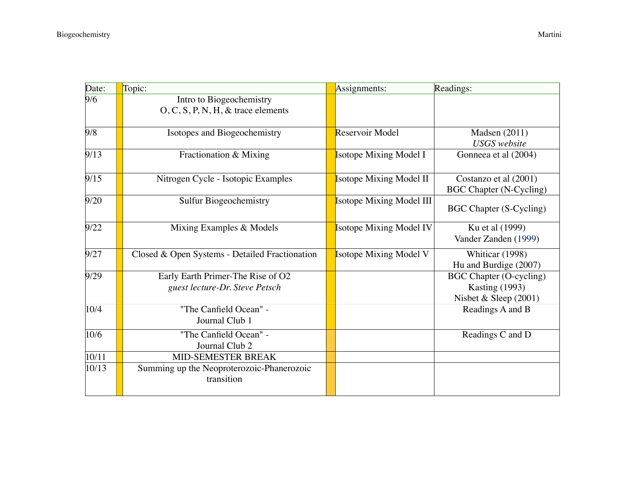| Date: | Topic:                                                              | Assignments:                    | Readings:                                                                        |
|-------|---------------------------------------------------------------------|---------------------------------|----------------------------------------------------------------------------------|
| 9/6   | Intro to Biogeochemistry<br>$O, C, S, P, N, H, \&$ trace elements   |                                 |                                                                                  |
| 9/8   | Isotopes and Biogeochemistry                                        | Reservoir Model                 | Madsen $(2011)$<br><b>USGS</b> website                                           |
| 9/13  | Fractionation & Mixing                                              | <b>Isotope Mixing Model I</b>   | Gonneea et al (2004)                                                             |
| 9/15  | Nitrogen Cycle - Isotopic Examples                                  | <b>Isotope Mixing Model II</b>  | Costanzo et al (2001)<br><b>BGC Chapter (N-Cycling)</b>                          |
| 9/20  | <b>Sulfur Biogeochemistry</b>                                       | <b>Isotope Mixing Model III</b> | <b>BGC Chapter (S-Cycling)</b>                                                   |
| 9/22  | Mixing Examples & Models                                            | <b>Isotope Mixing Model IV</b>  | Ku et al (1999)<br>Vander Zanden (1999)                                          |
| 9/27  | Closed & Open Systems - Detailed Fractionation                      | <b>Isotope Mixing Model V</b>   | Whiticar (1998)<br>Hu and Burdige (2007)                                         |
| 9/29  | Early Earth Primer-The Rise of O2<br>guest lecture-Dr. Steve Petsch |                                 | <b>BGC Chapter (O-cycling)</b><br><b>Kasting (1993)</b><br>Nisbet & Sleep (2001) |
| 10/4  | "The Canfield Ocean" -<br>Journal Club 1                            |                                 | Readings A and B                                                                 |
| 10/6  | "The Canfield Ocean" -<br>Journal Club 2                            |                                 | Readings C and D                                                                 |
| 10/11 | MID-SEMESTER BREAK                                                  |                                 |                                                                                  |
| 10/13 | Summing up the Neoproterozoic-Phanerozoic<br>transition             |                                 |                                                                                  |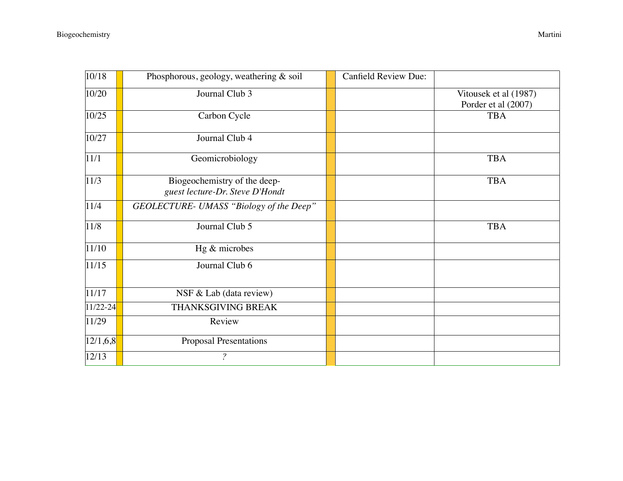| 10/18        | Phosphorous, geology, weathering & soil                         | <b>Canfield Review Due:</b> |                                              |
|--------------|-----------------------------------------------------------------|-----------------------------|----------------------------------------------|
| 10/20        | Journal Club 3                                                  |                             | Vitousek et al (1987)<br>Porder et al (2007) |
| 10/25        | Carbon Cycle                                                    |                             | <b>TBA</b>                                   |
| 10/27        | Journal Club 4                                                  |                             |                                              |
| 11/1         | Geomicrobiology                                                 |                             | <b>TBA</b>                                   |
| 11/3         | Biogeochemistry of the deep-<br>guest lecture-Dr. Steve D'Hondt |                             | <b>TBA</b>                                   |
| 11/4         | GEOLECTURE- UMASS "Biology of the Deep"                         |                             |                                              |
| 11/8         | Journal Club 5                                                  |                             | <b>TBA</b>                                   |
| 11/10        | Hg & microbes                                                   |                             |                                              |
| 11/15        | Journal Club 6                                                  |                             |                                              |
| 11/17        | NSF & Lab (data review)                                         |                             |                                              |
| $11/22 - 24$ | THANKSGIVING BREAK                                              |                             |                                              |
| 11/29        | Review                                                          |                             |                                              |
| 12/1,6,8     | <b>Proposal Presentations</b>                                   |                             |                                              |
| 12/13        | $\overline{\mathcal{E}}$                                        |                             |                                              |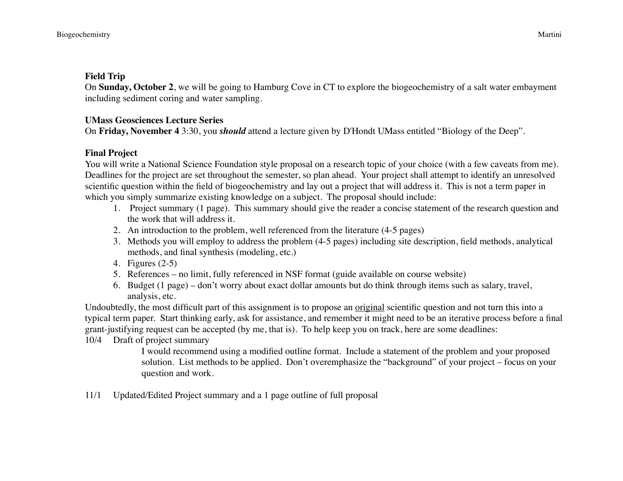## **Field Trip**

On **Sunday, October 2**, we will be going to Hamburg Cove in CT to explore the biogeochemistry of a salt water embayment including sediment coring and water sampling.

# **UMass Geosciences Lecture Series**

On **Friday, November 4** 3:30, you *should* attend a lecture given by D'Hondt UMass entitled "Biology of the Deep".

## **Final Project**

You will write a National Science Foundation style proposal on a research topic of your choice (with a few caveats from me). Deadlines for the project are set throughout the semester, so plan ahead. Your project shall attempt to identify an unresolved scientific question within the field of biogeochemistry and lay out a project that will address it. This is not a term paper in which you simply summarize existing knowledge on a subject. The proposal should include:

- 1. Project summary (1 page). This summary should give the reader a concise statement of the research question and the work that will address it.
- 2. An introduction to the problem, well referenced from the literature (4-5 pages)
- 3. Methods you will employ to address the problem (4-5 pages) including site description, field methods, analytical methods, and final synthesis (modeling, etc.)
- 4. Figures (2-5)
- 5. References no limit, fully referenced in NSF format (guide available on course website)
- 6. Budget (1 page) don't worry about exact dollar amounts but do think through items such as salary, travel, analysis, etc.

Undoubtedly, the most difficult part of this assignment is to propose an original scientific question and not turn this into a typical term paper. Start thinking early, ask for assistance, and remember it might need to be an iterative process before a final grant-justifying request can be accepted (by me, that is). To help keep you on track, here are some deadlines:

10/4 Draft of project summary

I would recommend using a modified outline format. Include a statement of the problem and your proposed solution. List methods to be applied. Don't overemphasize the "background" of your project – focus on your question and work.

11/1 Updated/Edited Project summary and a 1 page outline of full proposal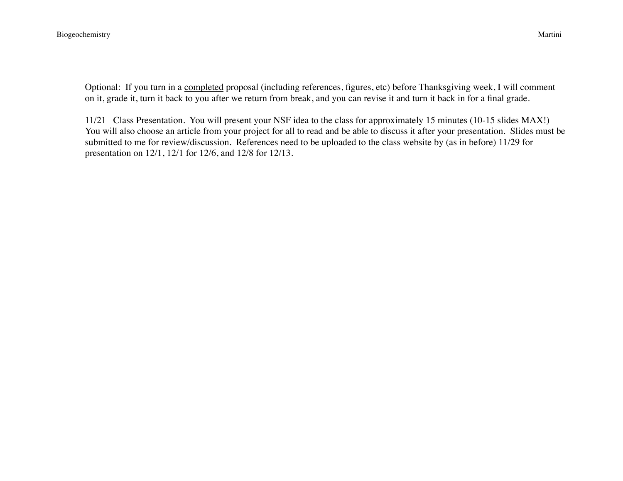Optional: If you turn in a completed proposal (including references, figures, etc) before Thanksgiving week, I will comment on it, grade it, turn it back to you after we return from break, and you can revise it and turn it back in for a final grade.

11/21 Class Presentation. You will present your NSF idea to the class for approximately 15 minutes (10-15 slides MAX!) You will also choose an article from your project for all to read and be able to discuss it after your presentation. Slides must be submitted to me for review/discussion. References need to be uploaded to the class website by (as in before) 11/29 for presentation on 12/1, 12/1 for 12/6, and 12/8 for 12/13.